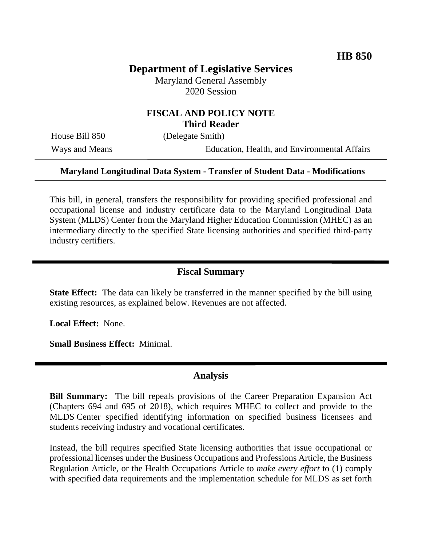# **Department of Legislative Services**

Maryland General Assembly 2020 Session

### **FISCAL AND POLICY NOTE Third Reader**

House Bill 850 (Delegate Smith)

Ways and Means Education, Health, and Environmental Affairs

#### **Maryland Longitudinal Data System - Transfer of Student Data - Modifications**

This bill, in general, transfers the responsibility for providing specified professional and occupational license and industry certificate data to the Maryland Longitudinal Data System (MLDS) Center from the Maryland Higher Education Commission (MHEC) as an intermediary directly to the specified State licensing authorities and specified third-party industry certifiers.

#### **Fiscal Summary**

**State Effect:** The data can likely be transferred in the manner specified by the bill using existing resources, as explained below. Revenues are not affected.

**Local Effect:** None.

**Small Business Effect:** Minimal.

#### **Analysis**

**Bill Summary:** The bill repeals provisions of the Career Preparation Expansion Act (Chapters 694 and 695 of 2018), which requires MHEC to collect and provide to the MLDS Center specified identifying information on specified business licensees and students receiving industry and vocational certificates.

Instead, the bill requires specified State licensing authorities that issue occupational or professional licenses under the Business Occupations and Professions Article, the Business Regulation Article, or the Health Occupations Article to *make every effort* to (1) comply with specified data requirements and the implementation schedule for MLDS as set forth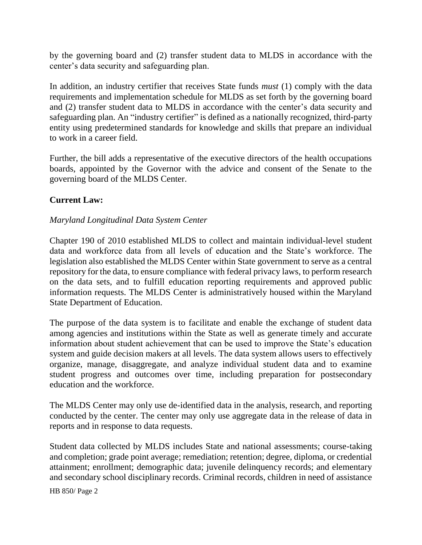by the governing board and (2) transfer student data to MLDS in accordance with the center's data security and safeguarding plan.

In addition, an industry certifier that receives State funds *must* (1) comply with the data requirements and implementation schedule for MLDS as set forth by the governing board and (2) transfer student data to MLDS in accordance with the center's data security and safeguarding plan. An "industry certifier" is defined as a nationally recognized, third-party entity using predetermined standards for knowledge and skills that prepare an individual to work in a career field.

Further, the bill adds a representative of the executive directors of the health occupations boards, appointed by the Governor with the advice and consent of the Senate to the governing board of the MLDS Center.

### **Current Law:**

#### *Maryland Longitudinal Data System Center*

Chapter 190 of 2010 established MLDS to collect and maintain individual-level student data and workforce data from all levels of education and the State's workforce. The legislation also established the MLDS Center within State government to serve as a central repository for the data, to ensure compliance with federal privacy laws, to perform research on the data sets, and to fulfill education reporting requirements and approved public information requests. The MLDS Center is administratively housed within the Maryland State Department of Education.

The purpose of the data system is to facilitate and enable the exchange of student data among agencies and institutions within the State as well as generate timely and accurate information about student achievement that can be used to improve the State's education system and guide decision makers at all levels. The data system allows users to effectively organize, manage, disaggregate, and analyze individual student data and to examine student progress and outcomes over time, including preparation for postsecondary education and the workforce.

The MLDS Center may only use de-identified data in the analysis, research, and reporting conducted by the center. The center may only use aggregate data in the release of data in reports and in response to data requests.

Student data collected by MLDS includes State and national assessments; course-taking and completion; grade point average; remediation; retention; degree, diploma, or credential attainment; enrollment; demographic data; juvenile delinquency records; and elementary and secondary school disciplinary records. Criminal records, children in need of assistance

HB 850/ Page 2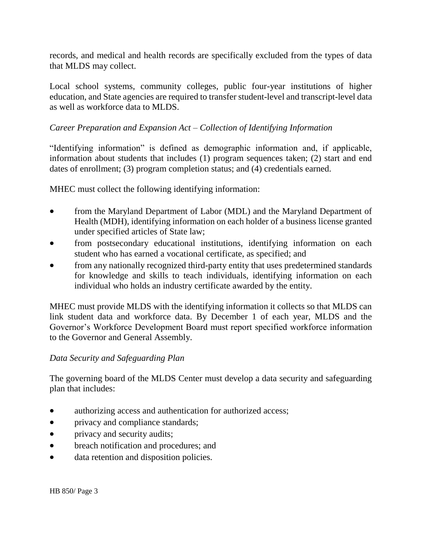records, and medical and health records are specifically excluded from the types of data that MLDS may collect.

Local school systems, community colleges, public four-year institutions of higher education, and State agencies are required to transfer student-level and transcript-level data as well as workforce data to MLDS.

### *Career Preparation and Expansion Act – Collection of Identifying Information*

"Identifying information" is defined as demographic information and, if applicable, information about students that includes (1) program sequences taken; (2) start and end dates of enrollment; (3) program completion status; and (4) credentials earned.

MHEC must collect the following identifying information:

- from the Maryland Department of Labor (MDL) and the Maryland Department of Health (MDH), identifying information on each holder of a business license granted under specified articles of State law;
- from postsecondary educational institutions, identifying information on each student who has earned a vocational certificate, as specified; and
- from any nationally recognized third-party entity that uses predetermined standards for knowledge and skills to teach individuals, identifying information on each individual who holds an industry certificate awarded by the entity.

MHEC must provide MLDS with the identifying information it collects so that MLDS can link student data and workforce data. By December 1 of each year, MLDS and the Governor's Workforce Development Board must report specified workforce information to the Governor and General Assembly.

#### *Data Security and Safeguarding Plan*

The governing board of the MLDS Center must develop a data security and safeguarding plan that includes:

- authorizing access and authentication for authorized access;
- privacy and compliance standards;
- privacy and security audits;
- breach notification and procedures; and
- data retention and disposition policies.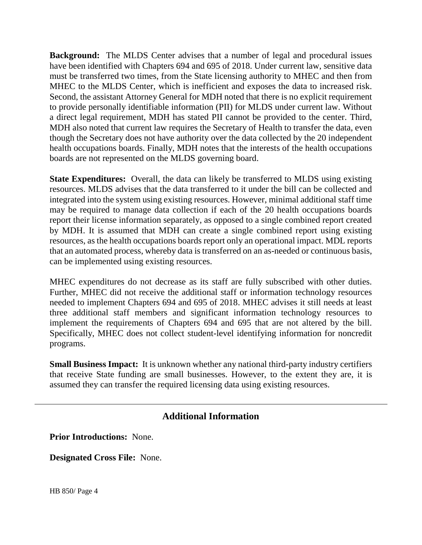**Background:** The MLDS Center advises that a number of legal and procedural issues have been identified with Chapters 694 and 695 of 2018. Under current law, sensitive data must be transferred two times, from the State licensing authority to MHEC and then from MHEC to the MLDS Center, which is inefficient and exposes the data to increased risk. Second, the assistant Attorney General for MDH noted that there is no explicit requirement to provide personally identifiable information (PII) for MLDS under current law. Without a direct legal requirement, MDH has stated PII cannot be provided to the center. Third, MDH also noted that current law requires the Secretary of Health to transfer the data, even though the Secretary does not have authority over the data collected by the 20 independent health occupations boards. Finally, MDH notes that the interests of the health occupations boards are not represented on the MLDS governing board.

**State Expenditures:** Overall, the data can likely be transferred to MLDS using existing resources. MLDS advises that the data transferred to it under the bill can be collected and integrated into the system using existing resources. However, minimal additional staff time may be required to manage data collection if each of the 20 health occupations boards report their license information separately, as opposed to a single combined report created by MDH. It is assumed that MDH can create a single combined report using existing resources, as the health occupations boards report only an operational impact. MDL reports that an automated process, whereby data is transferred on an as-needed or continuous basis, can be implemented using existing resources.

MHEC expenditures do not decrease as its staff are fully subscribed with other duties. Further, MHEC did not receive the additional staff or information technology resources needed to implement Chapters 694 and 695 of 2018. MHEC advises it still needs at least three additional staff members and significant information technology resources to implement the requirements of Chapters 694 and 695 that are not altered by the bill. Specifically, MHEC does not collect student-level identifying information for noncredit programs.

**Small Business Impact:** It is unknown whether any national third-party industry certifiers that receive State funding are small businesses. However, to the extent they are, it is assumed they can transfer the required licensing data using existing resources.

## **Additional Information**

**Prior Introductions:** None.

**Designated Cross File:** None.